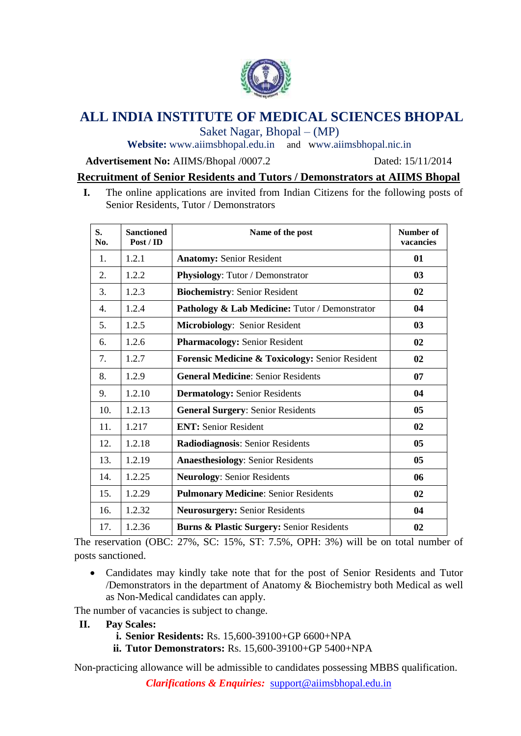

# **ALL INDIA INSTITUTE OF MEDICAL SCIENCES BHOPAL**

Saket Nagar, Bhopal – (MP)

Website: [www.aiimsbhopal.edu.in](http://www.aiimsbhopal.edu.in/) and www.aiimsbhopal.nic.in

#### **Advertisement No:** AIIMS/Bhopal /0007.2 Dated: 15/11/2014

# **Recruitment of Senior Residents and Tutors / Demonstrators at AIIMS Bhopal**

**I.** The online applications are invited from Indian Citizens for the following posts of Senior Residents, Tutor / Demonstrators

| S.<br>No. | <b>Sanctioned</b><br>Post / ID | Name of the post                                | Number of<br>vacancies |
|-----------|--------------------------------|-------------------------------------------------|------------------------|
| 1.        | 1.2.1                          | <b>Anatomy: Senior Resident</b>                 | 01                     |
| 2.        | 1.2.2                          | Physiology: Tutor / Demonstrator                | 03                     |
| 3.        | 1.2.3                          | <b>Biochemistry: Senior Resident</b>            | 02                     |
| 4.        | 1.2.4                          | Pathology & Lab Medicine: Tutor / Demonstrator  | 04                     |
| 5.        | 1.2.5                          | Microbiology: Senior Resident                   | 03                     |
| 6.        | 1.2.6                          | <b>Pharmacology: Senior Resident</b>            | 02                     |
| 7.        | 1.2.7                          | Forensic Medicine & Toxicology: Senior Resident | 02                     |
| 8.        | 1.2.9                          | <b>General Medicine: Senior Residents</b>       | 07                     |
| 9.        | 1.2.10                         | <b>Dermatology: Senior Residents</b>            | 04                     |
| 10.       | 1.2.13                         | <b>General Surgery: Senior Residents</b>        | 05                     |
| 11.       | 1.217                          | <b>ENT:</b> Senior Resident                     | 02                     |
| 12.       | 1.2.18                         | Radiodiagnosis: Senior Residents                | 05                     |
| 13.       | 1.2.19                         | <b>Anaesthesiology: Senior Residents</b>        | 05                     |
| 14.       | 1.2.25                         | <b>Neurology: Senior Residents</b>              | 06                     |
| 15.       | 1.2.29                         | <b>Pulmonary Medicine: Senior Residents</b>     | 02                     |
| 16.       | 1.2.32                         | <b>Neurosurgery: Senior Residents</b>           | 04                     |
| 17.       | 1.2.36                         | Burns & Plastic Surgery: Senior Residents       | 02                     |

The reservation (OBC: 27%, SC: 15%, ST: 7.5%, OPH: 3%) will be on total number of posts sanctioned.

 Candidates may kindly take note that for the post of Senior Residents and Tutor /Demonstrators in the department of Anatomy & Biochemistry both Medical as well as Non-Medical candidates can apply.

The number of vacancies is subject to change.

- **II. Pay Scales:** 
	- **i. Senior Residents:** Rs. 15,600-39100+GP 6600+NPA
	- **ii. Tutor Demonstrators:** Rs. 15,600-39100+GP 5400+NPA

Non-practicing allowance will be admissible to candidates possessing MBBS qualification.

*Clarifications & Enquiries:* support@aiimsbhopal.edu.in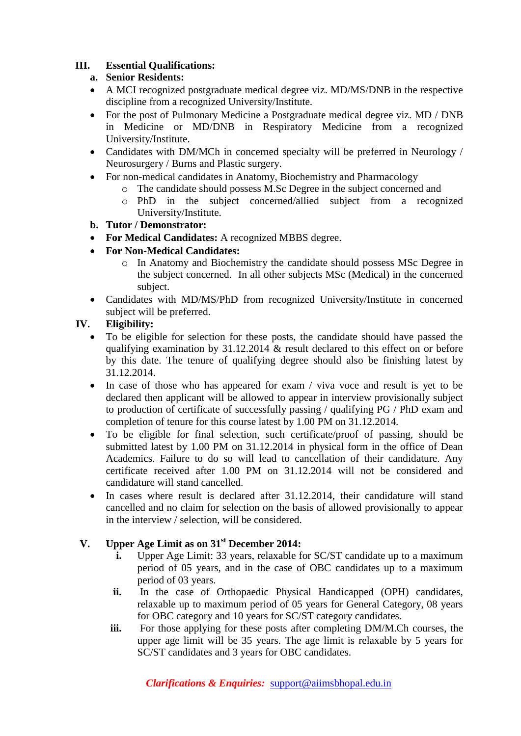# **III. Essential Qualifications:**

# **a. Senior Residents:**

- A MCI recognized postgraduate medical degree viz. MD/MS/DNB in the respective discipline from a recognized University/Institute.
- For the post of Pulmonary Medicine a Postgraduate medical degree viz. MD / DNB in Medicine or MD/DNB in Respiratory Medicine from a recognized University/Institute.
- Candidates with DM/MCh in concerned specialty will be preferred in Neurology / Neurosurgery / Burns and Plastic surgery.
- For non-medical candidates in Anatomy, Biochemistry and Pharmacology
	- o The candidate should possess M.Sc Degree in the subject concerned and
	- o PhD in the subject concerned/allied subject from a recognized University/Institute.

# **b. Tutor / Demonstrator:**

- **For Medical Candidates:** A recognized MBBS degree.
- **For Non-Medical Candidates:**
	- o In Anatomy and Biochemistry the candidate should possess MSc Degree in the subject concerned. In all other subjects MSc (Medical) in the concerned subject.
- Candidates with MD/MS/PhD from recognized University/Institute in concerned subject will be preferred.

# **IV. Eligibility:**

- To be eligible for selection for these posts, the candidate should have passed the qualifying examination by 31.12.2014 & result declared to this effect on or before by this date. The tenure of qualifying degree should also be finishing latest by 31.12.2014.
- In case of those who has appeared for exam / viva voce and result is yet to be declared then applicant will be allowed to appear in interview provisionally subject to production of certificate of successfully passing / qualifying PG / PhD exam and completion of tenure for this course latest by 1.00 PM on 31.12.2014.
- To be eligible for final selection, such certificate/proof of passing, should be submitted latest by 1.00 PM on 31.12.2014 in physical form in the office of Dean Academics. Failure to do so will lead to cancellation of their candidature. Any certificate received after 1.00 PM on 31.12.2014 will not be considered and candidature will stand cancelled.
- In cases where result is declared after 31.12.2014, their candidature will stand cancelled and no claim for selection on the basis of allowed provisionally to appear in the interview / selection, will be considered.

# **V. Upper Age Limit as on 31st December 2014:**

- **i.** Upper Age Limit: 33 years, relaxable for SC/ST candidate up to a maximum period of 05 years, and in the case of OBC candidates up to a maximum period of 03 years.
- **ii.** In the case of Orthopaedic Physical Handicapped (OPH) candidates, relaxable up to maximum period of 05 years for General Category, 08 years for OBC category and 10 years for SC/ST category candidates.
- **iii.** For those applying for these posts after completing DM/M.Ch courses, the upper age limit will be 35 years. The age limit is relaxable by 5 years for SC/ST candidates and 3 years for OBC candidates.

*Clarifications & Enquiries:* support@aiimsbhopal.edu.in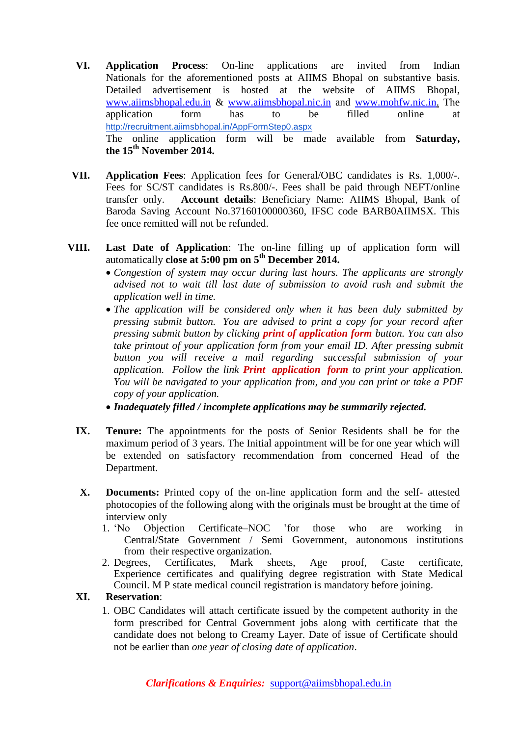- **VI. Application Process**: On-line applications are invited from Indian Nationals for the aforementioned posts at AIIMS Bhopal on substantive basis. Detailed advertisement is hosted at the website of AIIMS Bhopal, [www.aiimsbhopal.edu.in](http://www.aiimsbhopal.edu.in/) & [www.aiimsbhopal.nic.in](http://www.aiimsbhopal.nic.in/) and [www.mohfw.nic.in.](http://www.mohfw.nic.in/) The application form has to be filled online at <http://recruitment.aiimsbhopal.in/AppFormStep0.aspx> The online application form will be made available from **Saturday, the 15th November 2014.**
- **VII. Application Fees**: Application fees for General/OBC candidates is Rs. 1,000/-. Fees for SC/ST candidates is Rs.800/-. Fees shall be paid through NEFT/online transfer only. **Account details**: Beneficiary Name: AIIMS Bhopal, Bank of Baroda Saving Account No.37160100000360, IFSC code BARB0AIIMSX. This fee once remitted will not be refunded.
- **VIII. Last Date of Application**: The on-line filling up of application form will automatically **close at 5:00 pm on 5 th December 2014.**
	- *Congestion of system may occur during last hours. The applicants are strongly advised not to wait till last date of submission to avoid rush and submit the application well in time.*
	- *The application will be considered only when it has been duly submitted by pressing submit button. You are advised to print a copy for your record after pressing submit button by clicking print of application form button. You can also take printout of your application form from your email ID. After pressing submit button you will receive a mail regarding successful submission of your application. Follow the link Print application form to print your application. You will be navigated to your application from, and you can print or take a PDF copy of your application.*
	- *Inadequately filled / incomplete applications may be summarily rejected.*
	- **IX. Tenure:** The appointments for the posts of Senior Residents shall be for the maximum period of 3 years. The Initial appointment will be for one year which will be extended on satisfactory recommendation from concerned Head of the Department.
	- **X. Documents:** Printed copy of the on-line application form and the self- attested photocopies of the following along with the originals must be brought at the time of interview only
		- 1. 'No Objection Certificate–NOC 'for those who are working in Central/State Government / Semi Government, autonomous institutions from their respective organization.
		- 2. Degrees, Certificates, Mark sheets, Age proof, Caste certificate, Experience certificates and qualifying degree registration with State Medical Council. M P state medical council registration is mandatory before joining.

#### **XI. Reservation**:

1. OBC Candidates will attach certificate issued by the competent authority in the form prescribed for Central Government jobs along with certificate that the candidate does not belong to Creamy Layer. Date of issue of Certificate should not be earlier than *one year of closing date of application*.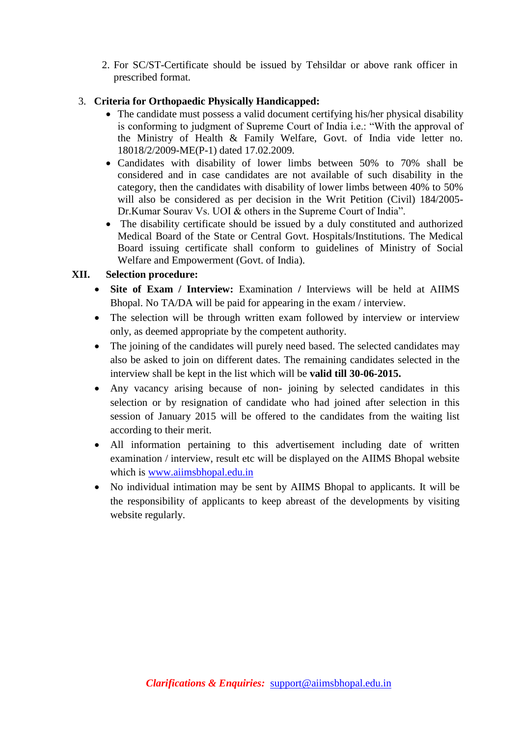2. For SC/ST-Certificate should be issued by Tehsildar or above rank officer in prescribed format.

#### 3. **Criteria for Orthopaedic Physically Handicapped:**

- The candidate must possess a valid document certifying his/her physical disability is conforming to judgment of Supreme Court of India i.e.: "With the approval of the Ministry of Health & Family Welfare, Govt. of India vide letter no. 18018/2/2009-ME(P-1) dated 17.02.2009.
- Candidates with disability of lower limbs between 50% to 70% shall be considered and in case candidates are not available of such disability in the category, then the candidates with disability of lower limbs between 40% to 50% will also be considered as per decision in the Writ Petition (Civil) 184/2005- Dr.Kumar Sourav Vs. UOI & others in the Supreme Court of India".
- The disability certificate should be issued by a duly constituted and authorized Medical Board of the State or Central Govt. Hospitals/Institutions. The Medical Board issuing certificate shall conform to guidelines of Ministry of Social Welfare and Empowerment (Govt. of India).

#### **XII. Selection procedure:**

- Site of Exam / Interview: Examination / Interviews will be held at AIIMS Bhopal. No TA/DA will be paid for appearing in the exam / interview.
- The selection will be through written exam followed by interview or interview only, as deemed appropriate by the competent authority.
- The joining of the candidates will purely need based. The selected candidates may also be asked to join on different dates. The remaining candidates selected in the interview shall be kept in the list which will be **valid till 30-06-2015.**
- Any vacancy arising because of non- joining by selected candidates in this selection or by resignation of candidate who had joined after selection in this session of January 2015 will be offered to the candidates from the waiting list according to their merit.
- All information pertaining to this advertisement including date of written examination / interview, result etc will be displayed on the AIIMS Bhopal website which is [www.aiimsbhopal.edu.in](http://www.aiimsbhopal.edu.in/)
- No individual intimation may be sent by AIIMS Bhopal to applicants. It will be the responsibility of applicants to keep abreast of the developments by visiting website regularly.